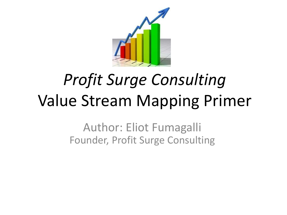

# *Profit Surge Consulting* Value Stream Mapping Primer

Author: Eliot Fumagalli Founder, Profit Surge Consulting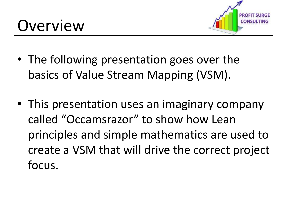

- The following presentation goes over the basics of Value Stream Mapping (VSM).
- This presentation uses an imaginary company called "Occamsrazor" to show how Lean principles and simple mathematics are used to create a VSM that will drive the correct project focus.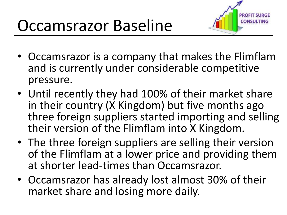

- Occamsrazor is a company that makes the Flimflam and is currently under considerable competitive pressure.
- Until recently they had 100% of their market share in their country (X Kingdom) but five months ago three foreign suppliers started importing and selling their version of the Flimflam into X Kingdom.
- The three foreign suppliers are selling their version of the Flimflam at a lower price and providing them at shorter lead-times than Occamsrazor.
- Occamsrazor has already lost almost 30% of their market share and losing more daily.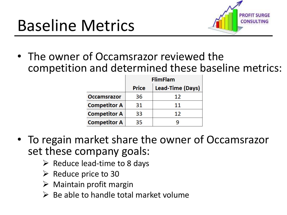

• The owner of Occamsrazor reviewed the competition and determined these baseline metrics:

|                     | <b>FlimFlam</b> |                         |  |
|---------------------|-----------------|-------------------------|--|
|                     | <b>Price</b>    | <b>Lead-Time (Days)</b> |  |
| <b>Occamsrazor</b>  | 36              | 12                      |  |
| <b>Competitor A</b> | 31              | 11                      |  |
| <b>Competitor A</b> | 33              | 12                      |  |
| <b>Competitor A</b> | 35              |                         |  |

- To regain market share the owner of Occamsrazor set these company goals:
	- $\triangleright$  Reduce lead-time to 8 days
	- $\triangleright$  Reduce price to 30
	- $\triangleright$  Maintain profit margin
	- $\triangleright$  Be able to handle total market volume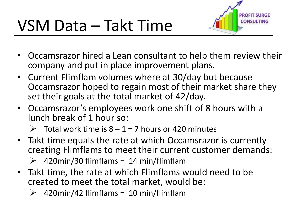

- Occamsrazor hired a Lean consultant to help them review their company and put in place improvement plans.
- Current Flimflam volumes where at 30/day but because Occamsrazor hoped to regain most of their market share they set their goals at the total market of 42/day.
- Occamsrazor's employees work one shift of 8 hours with a lunch break of 1 hour so:
	- Total work time is  $8 1 = 7$  hours or 420 minutes
- Takt time equals the rate at which Occamsrazor is currently creating Flimflams to meet their current customer demands:
	- 420min/30 flimflams = 14 min/flimflam
- Takt time, the rate at which Flimflams would need to be created to meet the total market, would be:
	- 420min/42 flimflams = 10 min/flimflam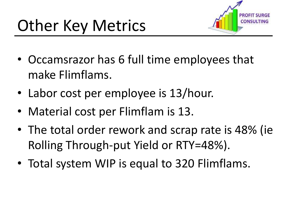

- Occamsrazor has 6 full time employees that make Flimflams.
- Labor cost per employee is 13/hour.
- Material cost per Flimflam is 13.
- The total order rework and scrap rate is 48% (ie Rolling Through-put Yield or RTY=48%).
- Total system WIP is equal to 320 Flimflams.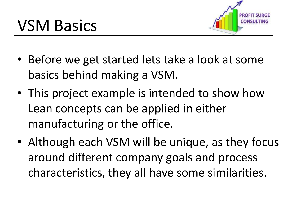

- Before we get started lets take a look at some basics behind making a VSM.
- This project example is intended to show how Lean concepts can be applied in either manufacturing or the office.
- Although each VSM will be unique, as they focus around different company goals and process characteristics, they all have some similarities.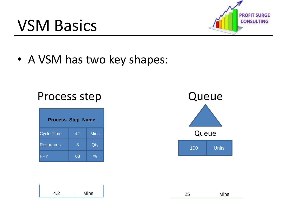## VSM Basics



• A VSM has two key shapes:

### Process step **Queue**

| <b>Process Step Name</b> |     |             |  |  |  |
|--------------------------|-----|-------------|--|--|--|
| <b>Cycle Time</b>        | 4.2 | <b>Mins</b> |  |  |  |
| <b>Resources</b>         | 3   | Qty         |  |  |  |
| PY                       | 68  | ℅           |  |  |  |



| $\sqrt{2}$<br>4.2 | Mins | ∠∪ | Mins |
|-------------------|------|----|------|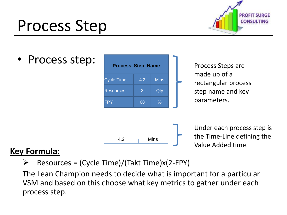## Process Step



• Process step:



### **Key Formula:**

 $\triangleright$  Resources = (Cycle Time)/(Takt Time)x(2-FPY)

The Lean Champion needs to decide what is important for a particular VSM and based on this choose what key metrics to gather under each process step.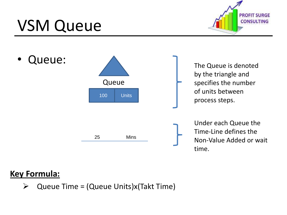## VSM Queue





### **Key Formula:**

 $\triangleright$  Queue Time = (Queue Units)x(Takt Time)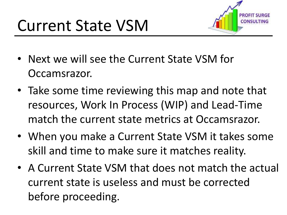

- Next we will see the Current State VSM for Occamsrazor.
- Take some time reviewing this map and note that resources, Work In Process (WIP) and Lead-Time match the current state metrics at Occamsrazor.
- When you make a Current State VSM it takes some skill and time to make sure it matches reality.
- A Current State VSM that does not match the actual current state is useless and must be corrected before proceeding.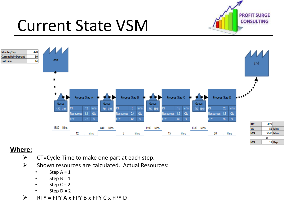

## Current State VSM



#### **Where:**

- $\triangleright$  CT=Cycle Time to make one part at each step.
- $\triangleright$  Shown resources are calculated. Actual Resources:
	- Step  $A = 1$
	- Step  $B = 1$
	- Step  $C = 2$
	- Step  $D = 2$
- $\triangleright$  RTY = FPY A x FPY B x FPY C x FPY D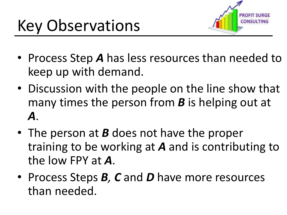

- Process Step *A* has less resources than needed to keep up with demand.
- Discussion with the people on the line show that many times the person from *B* is helping out at *A*.
- The person at *B* does not have the proper training to be working at *A* and is contributing to the low FPY at *A*.
- Process Steps *B, C* and *D* have more resources than needed.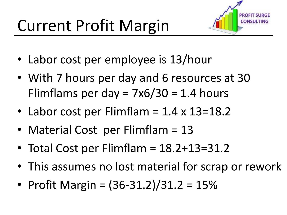

- Labor cost per employee is 13/hour
- With 7 hours per day and 6 resources at 30 Flimflams per day =  $7x6/30 = 1.4$  hours
- Labor cost per Flimflam  $= 1.4 \times 13 = 18.2$
- Material Cost per Flimflam = 13
- Total Cost per Flimflam = 18.2+13=31.2
- This assumes no lost material for scrap or rework
- Profit Margin = (36-31.2)/31.2 = 15%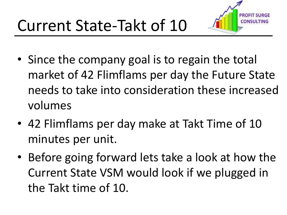

- Since the company goal is to regain the total market of 42 Flimflams per day the Future State needs to take into consideration these increased volumes
- 42 Flimflams per day make at Takt Time of 10 minutes per unit.
- Before going forward lets take a look at how the Current State VSM would look if we plugged in the Takt time of 10.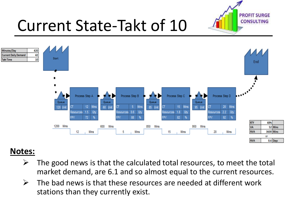

## Current State-Takt of 10



### **Notes:**

- $\triangleright$  The good news is that the calculated total resources, to meet the total market demand, are 6.1 and so almost equal to the current resources.
- $\triangleright$  The bad news is that these resources are needed at different work stations than they currently exist.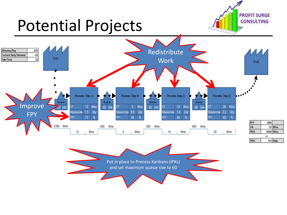## Potential Projects



**PROFIT SURGE CONSULTING**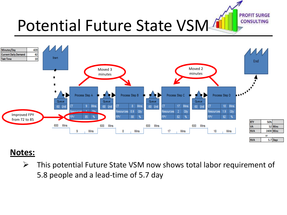**PROFIT SURGE CONSULTING** 

## Potential Future State VSM4



### **Notes:**

 $\triangleright$  This potential Future State VSM now shows total labor requirement of 5.8 people and a lead-time of 5.7 day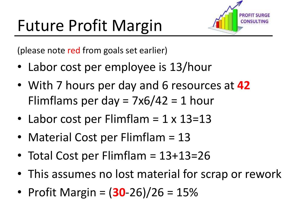

(please note red from goals set earlier)

- Labor cost per employee is 13/hour
- With 7 hours per day and 6 resources at **42** Flimflams per day =  $7x6/42 = 1$  hour
- Labor cost per Flimflam  $= 1 \times 13 = 13$
- Material Cost per Flimflam = 13
- Total Cost per Flimflam = 13+13=26
- This assumes no lost material for scrap or rework
- Profit Margin =  $(30-26)/26 = 15%$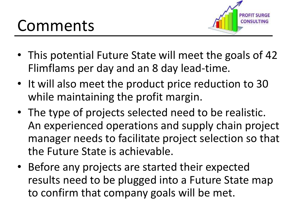

- This potential Future State will meet the goals of 42 Flimflams per day and an 8 day lead-time.
- It will also meet the product price reduction to 30 while maintaining the profit margin.
- The type of projects selected need to be realistic. An experienced operations and supply chain project manager needs to facilitate project selection so that the Future State is achievable.
- Before any projects are started their expected results need to be plugged into a Future State map to confirm that company goals will be met.